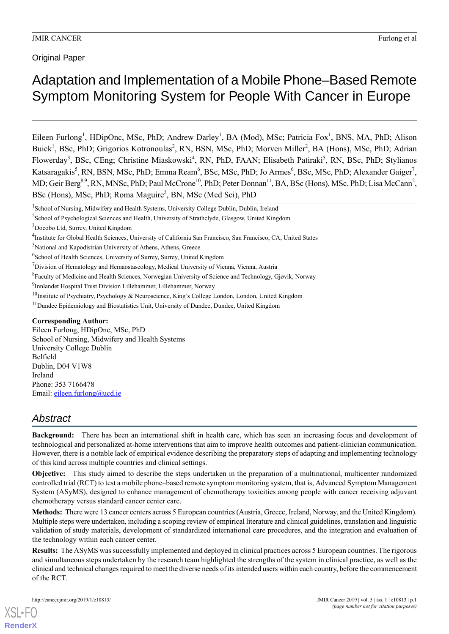**Original Paper** 

## Adaptation and Implementation of a Mobile Phone–Based Remote Symptom Monitoring System for People With Cancer in Europe

Eileen Furlong<sup>1</sup>, HDipOnc, MSc, PhD; Andrew Darley<sup>1</sup>, BA (Mod), MSc; Patricia Fox<sup>1</sup>, BNS, MA, PhD; Alison Buick<sup>1</sup>, BSc, PhD; Grigorios Kotronoulas<sup>2</sup>, RN, BSN, MSc, PhD; Morven Miller<sup>2</sup>, BA (Hons), MSc, PhD; Adrian Flowerday<sup>3</sup>, BSc, CEng; Christine Miaskowski<sup>4</sup>, RN, PhD, FAAN; Elisabeth Patiraki<sup>5</sup>, RN, BSc, PhD; Stylianos Katsaragakis<sup>5</sup>, RN, BSN, MSc, PhD; Emma Ream<sup>6</sup>, BSc, MSc, PhD; Jo Armes<sup>6</sup>, BSc, MSc, PhD; Alexander Gaiger<sup>7</sup>, MD; Geir Berg<sup>8,9</sup>, RN, MNSc, PhD; Paul McCrone<sup>10</sup>, PhD; Peter Donnan<sup>11</sup>, BA, BSc (Hons), MSc, PhD; Lisa McCann<sup>2</sup>, BSc (Hons), MSc, PhD; Roma Maguire<sup>2</sup>, BN, MSc (Med Sci), PhD

#### **Corresponding Author:**

Eileen Furlong, HDipOnc, MSc, PhD School of Nursing, Midwifery and Health Systems University College Dublin Belfield Dublin, D04 V1W8 Ireland Phone: 353 7166478 Email: [eileen.furlong@ucd.ie](mailto:eileen.furlong@ucd.ie)

## *Abstract*

**Background:** There has been an international shift in health care, which has seen an increasing focus and development of technological and personalized at-home interventions that aim to improve health outcomes and patient-clinician communication. However, there is a notable lack of empirical evidence describing the preparatory steps of adapting and implementing technology of this kind across multiple countries and clinical settings.

**Objective:** This study aimed to describe the steps undertaken in the preparation of a multinational, multicenter randomized controlled trial (RCT) to test a mobile phone–based remote symptom monitoring system, that is, Advanced Symptom Management System (ASyMS), designed to enhance management of chemotherapy toxicities among people with cancer receiving adjuvant chemotherapy versus standard cancer center care.

**Methods:** There were 13 cancer centers across 5 European countries (Austria, Greece, Ireland, Norway, and the United Kingdom). Multiple steps were undertaken, including a scoping review of empirical literature and clinical guidelines, translation and linguistic validation of study materials, development of standardized international care procedures, and the integration and evaluation of the technology within each cancer center.

**Results:** The ASyMS was successfully implemented and deployed in clinical practices across 5 European countries. The rigorous and simultaneous steps undertaken by the research team highlighted the strengths of the system in clinical practice, as well as the clinical and technical changes required to meet the diverse needs of its intended users within each country, before the commencement of the RCT.

<sup>&</sup>lt;sup>1</sup>School of Nursing, Midwifery and Health Systems, University College Dublin, Dublin, Ireland

<sup>&</sup>lt;sup>2</sup>School of Psychological Sciences and Health, University of Strathclyde, Glasgow, United Kingdom

<sup>3</sup>Docobo Ltd, Surrey, United Kingdom

<sup>4</sup> Institute for Global Health Sciences, University of California San Francisco, San Francisco, CA, United States

<sup>5</sup>National and Kapodistrian University of Athens, Athens, Greece

<sup>&</sup>lt;sup>6</sup>School of Health Sciences, University of Surrey, Surrey, United Kingdom

 $7$ Division of Hematology and Hemaostaseology, Medical University of Vienna, Vienna, Austria

<sup>&</sup>lt;sup>8</sup> Faculty of Medicine and Health Sciences, Norwegian University of Science and Technology, Gjøvik, Norway

<sup>&</sup>lt;sup>9</sup>Innlandet Hospital Trust Division Lillehammer, Lillehammer, Norway

<sup>&</sup>lt;sup>10</sup>Institute of Psychiatry, Psychology & Neuroscience, King's College London, London, United Kingdom

<sup>&</sup>lt;sup>11</sup>Dundee Epidemiology and Biostatistics Unit, University of Dundee, Dundee, United Kingdom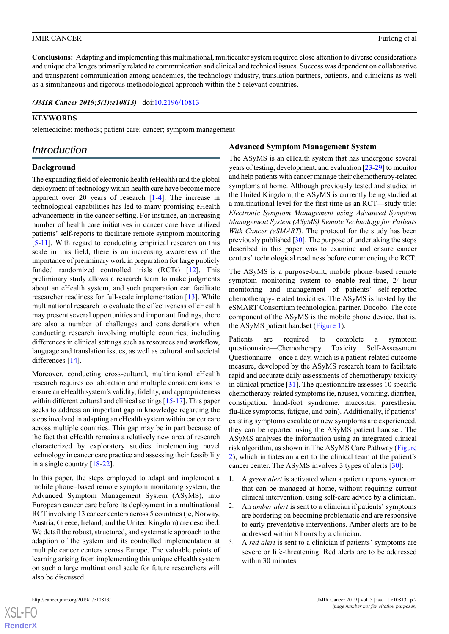**Conclusions:** Adapting and implementing this multinational, multicenter system required close attention to diverse considerations and unique challenges primarily related to communication and clinical and technical issues. Success was dependent on collaborative and transparent communication among academics, the technology industry, translation partners, patients, and clinicians as well as a simultaneous and rigorous methodological approach within the 5 relevant countries.

*(JMIR Cancer 2019;5(1):e10813)* doi: $10.2196/10813$ 

### **KEYWORDS**

telemedicine; methods; patient care; cancer; symptom management

## *Introduction*

## **Background**

The expanding field of electronic health (eHealth) and the global deployment of technology within health care have become more apparent over 20 years of research [\[1](#page-10-0)-[4](#page-10-1)]. The increase in technological capabilities has led to many promising eHealth advancements in the cancer setting. For instance, an increasing number of health care initiatives in cancer care have utilized patients' self-reports to facilitate remote symptom monitoring [[5](#page-10-2)[-11\]](#page-10-3). With regard to conducting empirical research on this scale in this field, there is an increasing awareness of the importance of preliminary work in preparation for large publicly funded randomized controlled trials (RCTs) [\[12](#page-10-4)]. This preliminary study allows a research team to make judgments about an eHealth system, and such preparation can facilitate researcher readiness for full-scale implementation [[13\]](#page-10-5). While multinational research to evaluate the effectiveness of eHealth may present several opportunities and important findings, there are also a number of challenges and considerations when conducting research involving multiple countries, including differences in clinical settings such as resources and workflow, language and translation issues, as well as cultural and societal differences [\[14](#page-10-6)].

Moreover, conducting cross-cultural, multinational eHealth research requires collaboration and multiple considerations to ensure an eHealth system's validity, fidelity, and appropriateness within different cultural and clinical settings [[15](#page-10-7)-[17\]](#page-10-8). This paper seeks to address an important gap in knowledge regarding the steps involved in adapting an eHealth system within cancer care across multiple countries. This gap may be in part because of the fact that eHealth remains a relatively new area of research characterized by exploratory studies implementing novel technology in cancer care practice and assessing their feasibility in a single country [\[18](#page-10-9)-[22\]](#page-11-0).

In this paper, the steps employed to adapt and implement a mobile phone–based remote symptom monitoring system, the Advanced Symptom Management System (ASyMS), into European cancer care before its deployment in a multinational RCT involving 13 cancer centers across 5 countries (ie, Norway, Austria, Greece, Ireland, and the United Kingdom) are described. We detail the robust, structured, and systematic approach to the adaption of the system and its controlled implementation at multiple cancer centers across Europe. The valuable points of learning arising from implementing this unique eHealth system on such a large multinational scale for future researchers will also be discussed.

#### **Advanced Symptom Management System**

The ASyMS is an eHealth system that has undergone several years of testing, development, and evaluation [\[23-](#page-11-1)[29\]](#page-11-2) to monitor and help patients with cancer manage their chemotherapy-related symptoms at home. Although previously tested and studied in the United Kingdom, the ASyMS is currently being studied at a multinational level for the first time as an RCT—study title: *Electronic Symptom Management using Advanced Symptom Management System (ASyMS) Remote Technology for Patients With Cancer (eSMART)*. The protocol for the study has been previously published [\[30](#page-11-3)]. The purpose of undertaking the steps described in this paper was to examine and ensure cancer centers' technological readiness before commencing the RCT.

The ASyMS is a purpose-built, mobile phone–based remote symptom monitoring system to enable real-time, 24-hour monitoring and management of patients' self-reported chemotherapy-related toxicities. The ASyMS is hosted by the eSMART Consortium technological partner, Docobo. The core component of the ASyMS is the mobile phone device, that is, the ASyMS patient handset [\(Figure 1\)](#page-2-0).

Patients are required to complete a symptom questionnaire—Chemotherapy Toxicity Self-Assessment Questionnaire—once a day, which is a patient-related outcome measure, developed by the ASyMS research team to facilitate rapid and accurate daily assessments of chemotherapy toxicity in clinical practice [\[31](#page-11-4)]. The questionnaire assesses 10 specific chemotherapy-related symptoms (ie, nausea, vomiting, diarrhea, constipation, hand-foot syndrome, mucositis, paresthesia, flu-like symptoms, fatigue, and pain). Additionally, if patients' existing symptoms escalate or new symptoms are experienced, they can be reported using the ASyMS patient handset. The ASyMS analyses the information using an integrated clinical risk algorithm, as shown in The ASyMS Care Pathway ([Figure](#page-2-1) [2\)](#page-2-1), which initiates an alert to the clinical team at the patient's cancer center. The ASyMS involves 3 types of alerts [[30\]](#page-11-3):

- 1. A *green alert* is activated when a patient reports symptom that can be managed at home, without requiring current clinical intervention, using self-care advice by a clinician.
- 2. An *amber alert* is sent to a clinician if patients' symptoms are bordering on becoming problematic and are responsive to early preventative interventions. Amber alerts are to be addressed within 8 hours by a clinician.
- 3. A *red alert* is sent to a clinician if patients' symptoms are severe or life-threatening. Red alerts are to be addressed within 30 minutes.

 $XSI - F($ **[RenderX](http://www.renderx.com/)**

#### JMIR CANCER Furlong et al. **Furlong et al.** The second second second second second second second second second second second second second second second second second second second second second second second second second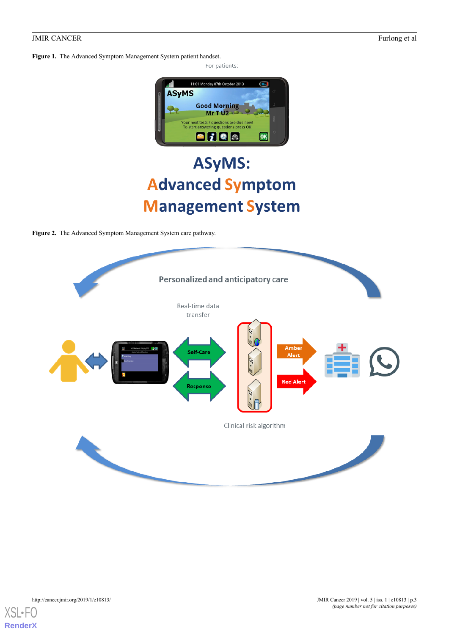<span id="page-2-0"></span>**Figure 1.** The Advanced Symptom Management System patient handset.



# **ASyMS: Advanced Symptom Management System**

<span id="page-2-1"></span>**Figure 2.** The Advanced Symptom Management System care pathway.



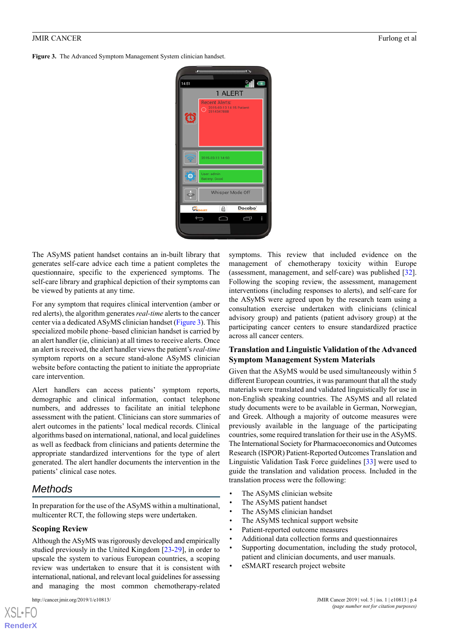<span id="page-3-0"></span>**Figure 3.** The Advanced Symptom Management System clinician handset.

| 14:51                                          | <b>SECONDENSITY 1</b><br>$\epsilon$<br>al o                                      |  |  |  |  |
|------------------------------------------------|----------------------------------------------------------------------------------|--|--|--|--|
| Ö                                              | 1 ALERT<br><b>Recent Alerts:</b><br>2015-03-13 14:15 Patient:<br>С<br>2314347888 |  |  |  |  |
|                                                | 2015-03-13 14:50                                                                 |  |  |  |  |
| $\bullet$                                      | User: admin<br><b>Battery: Good</b>                                              |  |  |  |  |
|                                                | Whisper Mode Off                                                                 |  |  |  |  |
| Docobo <sup>®</sup><br>⋒<br>О,<br><b>SMART</b> |                                                                                  |  |  |  |  |
|                                                | Ē                                                                                |  |  |  |  |

The ASyMS patient handset contains an in-built library that generates self-care advice each time a patient completes the questionnaire, specific to the experienced symptoms. The self-care library and graphical depiction of their symptoms can be viewed by patients at any time.

For any symptom that requires clinical intervention (amber or red alerts), the algorithm generates *real-time* alerts to the cancer center via a dedicated ASyMS clinician handset ([Figure 3](#page-3-0)). This specialized mobile phone–based clinician handset is carried by an alert handler (ie, clinician) at all times to receive alerts. Once an alert is received, the alert handler views the patient's *real-time* symptom reports on a secure stand-alone ASyMS clinician website before contacting the patient to initiate the appropriate care intervention.

Alert handlers can access patients' symptom reports, demographic and clinical information, contact telephone numbers, and addresses to facilitate an initial telephone assessment with the patient. Clinicians can store summaries of alert outcomes in the patients' local medical records. Clinical algorithms based on international, national, and local guidelines as well as feedback from clinicians and patients determine the appropriate standardized interventions for the type of alert generated. The alert handler documents the intervention in the patients' clinical case notes.

## *Methods*

In preparation for the use of the ASyMS within a multinational, multicenter RCT, the following steps were undertaken.

#### **Scoping Review**

Although the ASyMS was rigorously developed and empirically studied previously in the United Kingdom [[23-](#page-11-1)[29](#page-11-2)], in order to upscale the system to various European countries, a scoping review was undertaken to ensure that it is consistent with international, national, and relevant local guidelines for assessing and managing the most common chemotherapy-related

[XSL](http://www.w3.org/Style/XSL)•FO **[RenderX](http://www.renderx.com/)**

symptoms. This review that included evidence on the management of chemotherapy toxicity within Europe (assessment, management, and self‐care) was published [[32\]](#page-11-5). Following the scoping review, the assessment, management interventions (including responses to alerts), and self‐care for the ASyMS were agreed upon by the research team using a consultation exercise undertaken with clinicians (clinical advisory group) and patients (patient advisory group) at the participating cancer centers to ensure standardized practice across all cancer centers.

#### **Translation and Linguistic Validation of the Advanced Symptom Management System Materials**

Given that the ASyMS would be used simultaneously within 5 different European countries, it was paramount that all the study materials were translated and validated linguistically for use in non-English speaking countries. The ASyMS and all related study documents were to be available in German, Norwegian, and Greek. Although a majority of outcome measures were previously available in the language of the participating countries, some required translation for their use in the ASyMS. The International Society for Pharmacoeconomics and Outcomes Research (ISPOR) Patient-Reported Outcomes Translation and Linguistic Validation Task Force guidelines [\[33](#page-11-6)] were used to guide the translation and validation process. Included in the translation process were the following:

- The ASyMS clinician website
- The ASyMS patient handset
- The ASyMS clinician handset
- The ASyMS technical support website
- Patient-reported outcome measures
- Additional data collection forms and questionnaires
- Supporting documentation, including the study protocol, patient and clinician documents, and user manuals.
- eSMART research project website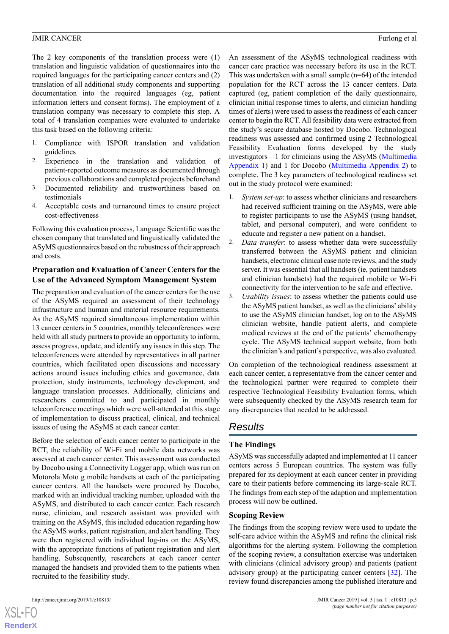The 2 key components of the translation process were (1) translation and linguistic validation of questionnaires into the required languages for the participating cancer centers and (2) translation of all additional study components and supporting documentation into the required languages (eg, patient information letters and consent forms). The employment of a translation company was necessary to complete this step. A total of 4 translation companies were evaluated to undertake this task based on the following criteria:

- 1. Compliance with ISPOR translation and validation guidelines
- 2. Experience in the translation and validation of patient-reported outcome measures as documented through previous collaborations and completed projects beforehand
- 3. Documented reliability and trustworthiness based on testimonials
- 4. Acceptable costs and turnaround times to ensure project cost-effectiveness

Following this evaluation process, Language Scientific was the chosen company that translated and linguistically validated the ASyMS questionnaires based on the robustness of their approach and costs.

#### **Preparation and Evaluation of Cancer Centers for the Use of the Advanced Symptom Management System**

The preparation and evaluation of the cancer centers for the use of the ASyMS required an assessment of their technology infrastructure and human and material resource requirements. As the ASyMS required simultaneous implementation within 13 cancer centers in 5 countries, monthly teleconferences were held with all study partners to provide an opportunity to inform, assess progress, update, and identify any issues in this step. The teleconferences were attended by representatives in all partner countries, which facilitated open discussions and necessary actions around issues including ethics and governance, data protection, study instruments, technology development, and language translation processes. Additionally, clinicians and researchers committed to and participated in monthly teleconference meetings which were well-attended at this stage of implementation to discuss practical, clinical, and technical issues of using the ASyMS at each cancer center.

Before the selection of each cancer center to participate in the RCT, the reliability of Wi-Fi and mobile data networks was assessed at each cancer center. This assessment was conducted by Docobo using a Connectivity Logger app, which was run on Motorola Moto g mobile handsets at each of the participating cancer centers. All the handsets were procured by Docobo, marked with an individual tracking number, uploaded with the ASyMS, and distributed to each cancer center. Each research nurse, clinician, and research assistant was provided with training on the ASyMS, this included education regarding how the ASyMS works, patient registration, and alert handling. They were then registered with individual log-ins on the ASyMS, with the appropriate functions of patient registration and alert handling. Subsequently, researchers at each cancer center managed the handsets and provided them to the patients when recruited to the feasibility study.

An assessment of the ASyMS technological readiness with cancer care practice was necessary before its use in the RCT. This was undertaken with a small sample (n=64) of the intended population for the RCT across the 13 cancer centers. Data captured (eg, patient completion of the daily questionnaire, clinician initial response times to alerts, and clinician handling times of alerts) were used to assess the readiness of each cancer center to begin the RCT. All feasibility data were extracted from the study's secure database hosted by Docobo. Technological readiness was assessed and confirmed using 2 Technological Feasibility Evaluation forms developed by the study investigators—1 for clinicians using the ASyMS [\(Multimedia](#page-10-10) [Appendix 1\)](#page-10-10) and 1 for Docobo ([Multimedia Appendix 2\)](#page-10-11) to complete. The 3 key parameters of technological readiness set out in the study protocol were examined:

- 1. *System set-up*: to assess whether clinicians and researchers had received sufficient training on the ASyMS, were able to register participants to use the ASyMS (using handset, tablet, and personal computer), and were confident to educate and register a new patient on a handset.
- 2. *Data transfer*: to assess whether data were successfully transferred between the ASyMS patient and clinician handsets, electronic clinical case note reviews, and the study server. It was essential that all handsets (ie, patient handsets and clinician handsets) had the required mobile or Wi-Fi connectivity for the intervention to be safe and effective.
- 3. *Usability issues*: to assess whether the patients could use the ASyMS patient handset, as well as the clinicians' ability to use the ASyMS clinician handset, log on to the ASyMS clinician website, handle patient alerts, and complete medical reviews at the end of the patients' chemotherapy cycle. The ASyMS technical support website, from both the clinician's and patient's perspective, was also evaluated.

On completion of the technological readiness assessment at each cancer center, a representative from the cancer center and the technological partner were required to complete their respective Technological Feasibility Evaluation forms, which were subsequently checked by the ASyMS research team for any discrepancies that needed to be addressed.

## *Results*

#### **The Findings**

ASyMS was successfully adapted and implemented at 11 cancer centers across 5 European countries. The system was fully prepared for its deployment at each cancer center in providing care to their patients before commencing its large-scale RCT. The findings from each step of the adaption and implementation process will now be outlined.

#### **Scoping Review**

The findings from the scoping review were used to update the self-care advice within the ASyMS and refine the clinical risk algorithms for the alerting system. Following the completion of the scoping review, a consultation exercise was undertaken with clinicians (clinical advisory group) and patients (patient advisory group) at the participating cancer centers [[32\]](#page-11-5). The review found discrepancies among the published literature and

 $XSI - F($ **[RenderX](http://www.renderx.com/)**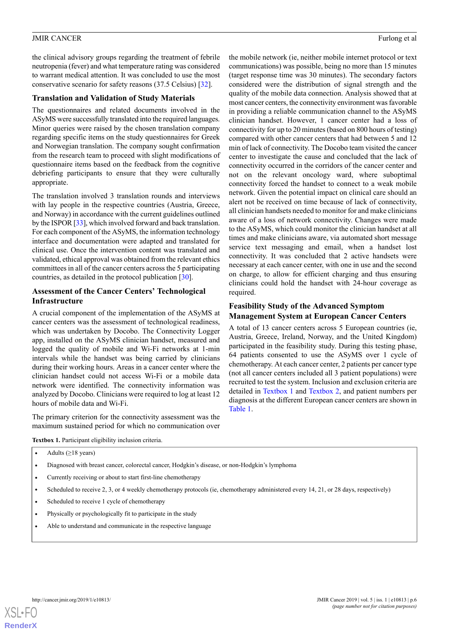the clinical advisory groups regarding the treatment of febrile neutropenia (fever) and what temperature rating was considered to warrant medical attention. It was concluded to use the most conservative scenario for safety reasons (37.5 Celsius) [\[32](#page-11-5)].

#### **Translation and Validation of Study Materials**

The questionnaires and related documents involved in the ASyMS were successfully translated into the required languages. Minor queries were raised by the chosen translation company regarding specific items on the study questionnaires for Greek and Norwegian translation. The company sought confirmation from the research team to proceed with slight modifications of questionnaire items based on the feedback from the cognitive debriefing participants to ensure that they were culturally appropriate.

The translation involved 3 translation rounds and interviews with lay people in the respective countries (Austria, Greece, and Norway) in accordance with the current guidelines outlined by the ISPOR [[33](#page-11-6)], which involved forward and back translation. For each component of the ASyMS, the information technology interface and documentation were adapted and translated for clinical use. Once the intervention content was translated and validated, ethical approval was obtained from the relevant ethics committees in all of the cancer centers across the 5 participating countries, as detailed in the protocol publication [[30\]](#page-11-3).

#### **Assessment of the Cancer Centers' Technological Infrastructure**

A crucial component of the implementation of the ASyMS at cancer centers was the assessment of technological readiness, which was undertaken by Docobo. The Connectivity Logger app, installed on the ASyMS clinician handset, measured and logged the quality of mobile and Wi-Fi networks at 1-min intervals while the handset was being carried by clinicians during their working hours. Areas in a cancer center where the clinician handset could not access Wi-Fi or a mobile data network were identified. The connectivity information was analyzed by Docobo. Clinicians were required to log at least 12 hours of mobile data and Wi-Fi.

<span id="page-5-0"></span>The primary criterion for the connectivity assessment was the maximum sustained period for which no communication over the mobile network (ie, neither mobile internet protocol or text communications) was possible, being no more than 15 minutes (target response time was 30 minutes). The secondary factors considered were the distribution of signal strength and the quality of the mobile data connection. Analysis showed that at most cancer centers, the connectivity environment was favorable in providing a reliable communication channel to the ASyMS clinician handset. However, 1 cancer center had a loss of connectivity for up to 20 minutes (based on 800 hours of testing) compared with other cancer centers that had between 5 and 12 min of lack of connectivity. The Docobo team visited the cancer center to investigate the cause and concluded that the lack of connectivity occurred in the corridors of the cancer center and not on the relevant oncology ward, where suboptimal connectivity forced the handset to connect to a weak mobile network. Given the potential impact on clinical care should an alert not be received on time because of lack of connectivity, all clinician handsets needed to monitor for and make clinicians aware of a loss of network connectivity. Changes were made to the ASyMS, which could monitor the clinician handset at all times and make clinicians aware, via automated short message service text messaging and email, when a handset lost connectivity. It was concluded that 2 active handsets were necessary at each cancer center, with one in use and the second on charge, to allow for efficient charging and thus ensuring clinicians could hold the handset with 24-hour coverage as required.

#### **Feasibility Study of the Advanced Symptom Management System at European Cancer Centers**

A total of 13 cancer centers across 5 European countries (ie, Austria, Greece, Ireland, Norway, and the United Kingdom) participated in the feasibility study. During this testing phase, 64 patients consented to use the ASyMS over 1 cycle of chemotherapy. At each cancer center, 2 patients per cancer type (not all cancer centers included all 3 patient populations) were recruited to test the system. Inclusion and exclusion criteria are detailed in [Textbox 1](#page-5-0) and [Textbox 2,](#page-6-0) and patient numbers per diagnosis at the different European cancer centers are shown in [Table 1](#page-6-1).

**Textbox 1.** Participant eligibility inclusion criteria.

Adults  $(≥18 \text{ years})$ 

- Diagnosed with breast cancer, colorectal cancer, Hodgkin's disease, or non-Hodgkin's lymphoma
- Currently receiving or about to start first-line chemotherapy
- Scheduled to receive 2, 3, or 4 weekly chemotherapy protocols (ie, chemotherapy administered every 14, 21, or 28 days, respectively)
- Scheduled to receive 1 cycle of chemotherapy
- Physically or psychologically fit to participate in the study
- Able to understand and communicate in the respective language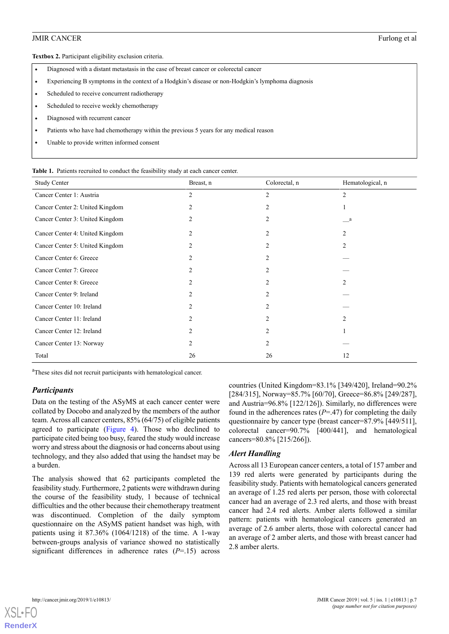<span id="page-6-0"></span>**Textbox 2.** Participant eligibility exclusion criteria.

- Diagnosed with a distant metastasis in the case of breast cancer or colorectal cancer
- Experiencing B symptoms in the context of a Hodgkin's disease or non-Hodgkin's lymphoma diagnosis
- Scheduled to receive concurrent radiotherapy
- Scheduled to receive weekly chemotherapy
- Diagnosed with recurrent cancer
- Patients who have had chemotherapy within the previous 5 years for any medical reason
- <span id="page-6-1"></span>Unable to provide written informed consent

**Table 1.** Patients recruited to conduct the feasibility study at each cancer center.

| <b>Study Center</b>             | Breast, n      | Colorectal, n  | Hematological, n |
|---------------------------------|----------------|----------------|------------------|
| Cancer Center 1: Austria        | 2              | 2              | 2                |
| Cancer Center 2: United Kingdom | 2              | 2              |                  |
| Cancer Center 3: United Kingdom | 2              |                | a                |
| Cancer Center 4: United Kingdom | 2              | $\mathfrak{D}$ | $\overline{2}$   |
| Cancer Center 5: United Kingdom | 2              | $\overline{c}$ | 2                |
| Cancer Center 6: Greece         | $\mathcal{L}$  |                |                  |
| Cancer Center 7: Greece         | 2              | $\mathfrak{D}$ |                  |
| Cancer Center 8: Greece         | $\overline{c}$ | $\mathfrak{D}$ | 2                |
| Cancer Center 9: Ireland        | $\overline{c}$ |                |                  |
| Cancer Center 10: Ireland       | 2              | $\mathfrak{D}$ |                  |
| Cancer Center 11: Ireland       | $\overline{c}$ |                | $\overline{c}$   |
| Cancer Center 12: Ireland       | 2              | $\overline{c}$ |                  |
| Cancer Center 13: Norway        | $\overline{c}$ | 2              |                  |
| Total                           | 26             | 26             | 12               |

<sup>a</sup>These sites did not recruit participants with hematological cancer.

#### *Participants*

Data on the testing of the ASyMS at each cancer center were collated by Docobo and analyzed by the members of the author team. Across all cancer centers, 85% (64/75) of eligible patients agreed to participate ([Figure 4](#page-7-0)). Those who declined to participate cited being too busy, feared the study would increase worry and stress about the diagnosis or had concerns about using technology, and they also added that using the handset may be a burden.

The analysis showed that 62 participants completed the feasibility study. Furthermore, 2 patients were withdrawn during the course of the feasibility study, 1 because of technical difficulties and the other because their chemotherapy treatment was discontinued. Completion of the daily symptom questionnaire on the ASyMS patient handset was high, with patients using it 87.36% (1064/1218) of the time. A 1-way between-groups analysis of variance showed no statistically significant differences in adherence rates (*P*=.15) across

countries (United Kingdom=83.1% [349/420], Ireland=90.2% [284/315], Norway=85.7% [60/70], Greece=86.8% [249/287], and Austria=96.8% [122/126]). Similarly, no differences were found in the adherences rates  $(P=47)$  for completing the daily questionnaire by cancer type (breast cancer=87.9% [449/511], colorectal cancer=90.7% [400/441], and hematological cancers=80.8% [215/266]).

#### *Alert Handling*

Across all 13 European cancer centers, a total of 157 amber and 139 red alerts were generated by participants during the feasibility study. Patients with hematological cancers generated an average of 1.25 red alerts per person, those with colorectal cancer had an average of 2.3 red alerts, and those with breast cancer had 2.4 red alerts. Amber alerts followed a similar pattern: patients with hematological cancers generated an average of 2.6 amber alerts, those with colorectal cancer had an average of 2 amber alerts, and those with breast cancer had 2.8 amber alerts.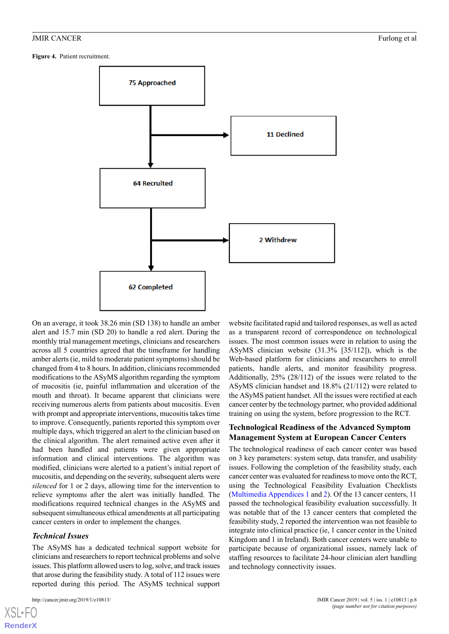<span id="page-7-0"></span>**Figure 4.** Patient recruitment.



On an average, it took 38.26 min (SD 138) to handle an amber alert and 15.7 min (SD 20) to handle a red alert. During the monthly trial management meetings, clinicians and researchers across all 5 countries agreed that the timeframe for handling amber alerts (ie, mild to moderate patient symptoms) should be changed from 4 to 8 hours. In addition, clinicians recommended modifications to the ASyMS algorithm regarding the symptom of mucositis (ie, painful inflammation and ulceration of the mouth and throat). It became apparent that clinicians were receiving numerous alerts from patients about mucositis. Even with prompt and appropriate interventions, mucositis takes time to improve. Consequently, patients reported this symptom over multiple days, which triggered an alert to the clinician based on the clinical algorithm. The alert remained active even after it had been handled and patients were given appropriate information and clinical interventions. The algorithm was modified, clinicians were alerted to a patient's initial report of mucositis, and depending on the severity, subsequent alerts were *silenced* for 1 or 2 days, allowing time for the intervention to relieve symptoms after the alert was initially handled. The modifications required technical changes in the ASyMS and subsequent simultaneous ethical amendments at all participating cancer centers in order to implement the changes.

#### *Technical Issues*

The ASyMS has a dedicated technical support website for clinicians and researchers to report technical problems and solve issues. This platform allowed users to log, solve, and track issues that arose during the feasibility study. A total of 112 issues were reported during this period. The ASyMS technical support

[XSL](http://www.w3.org/Style/XSL)•FO **[RenderX](http://www.renderx.com/)**

website facilitated rapid and tailored responses, as well as acted as a transparent record of correspondence on technological issues. The most common issues were in relation to using the ASyMS clinician website (31.3% [35/112]), which is the Web-based platform for clinicians and researchers to enroll patients, handle alerts, and monitor feasibility progress. Additionally, 25% (28/112) of the issues were related to the ASyMS clinician handset and 18.8% (21/112) were related to the ASyMS patient handset. All the issues were rectified at each cancer center by the technology partner, who provided additional training on using the system, before progression to the RCT.

#### **Technological Readiness of the Advanced Symptom Management System at European Cancer Centers**

The technological readiness of each cancer center was based on 3 key parameters: system setup, data transfer, and usability issues. Following the completion of the feasibility study, each cancer center was evaluated for readiness to move onto the RCT, using the Technological Feasibility Evaluation Checklists ([Multimedia Appendices 1](#page-10-10) and [2](#page-10-11)). Of the 13 cancer centers, 11 passed the technological feasibility evaluation successfully. It was notable that of the 13 cancer centers that completed the feasibility study, 2 reported the intervention was not feasible to integrate into clinical practice (ie, 1 cancer center in the United Kingdom and 1 in Ireland). Both cancer centers were unable to participate because of organizational issues, namely lack of staffing resources to facilitate 24-hour clinician alert handling and technology connectivity issues.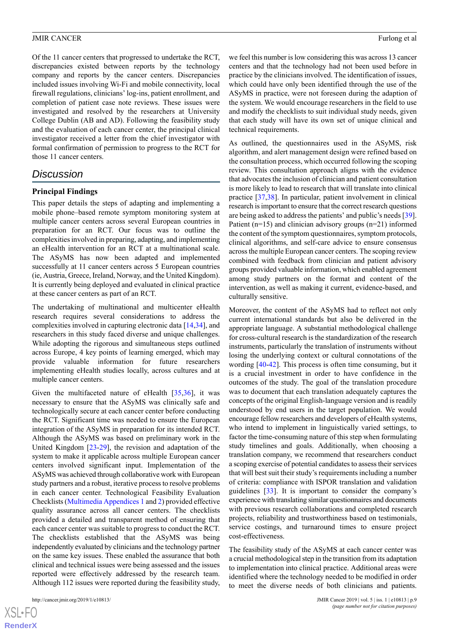Of the 11 cancer centers that progressed to undertake the RCT, discrepancies existed between reports by the technology company and reports by the cancer centers. Discrepancies included issues involving Wi-Fi and mobile connectivity, local firewall regulations, clinicians' log-ins, patient enrollment, and completion of patient case note reviews. These issues were investigated and resolved by the researchers at University College Dublin (AB and AD). Following the feasibility study and the evaluation of each cancer center, the principal clinical investigator received a letter from the chief investigator with formal confirmation of permission to progress to the RCT for those 11 cancer centers.

#### *Discussion*

#### **Principal Findings**

This paper details the steps of adapting and implementing a mobile phone–based remote symptom monitoring system at multiple cancer centers across several European countries in preparation for an RCT. Our focus was to outline the complexities involved in preparing, adapting, and implementing an eHealth intervention for an RCT at a multinational scale. The ASyMS has now been adapted and implemented successfully at 11 cancer centers across 5 European countries (ie, Austria, Greece, Ireland, Norway, and the United Kingdom). It is currently being deployed and evaluated in clinical practice at these cancer centers as part of an RCT.

The undertaking of multinational and multicenter eHealth research requires several considerations to address the complexities involved in capturing electronic data [[14,](#page-10-6)[34](#page-11-7)], and researchers in this study faced diverse and unique challenges. While adopting the rigorous and simultaneous steps outlined across Europe, 4 key points of learning emerged, which may provide valuable information for future researchers implementing eHealth studies locally, across cultures and at multiple cancer centers.

Given the multifaceted nature of eHealth  $[35,36]$  $[35,36]$  $[35,36]$  $[35,36]$ , it was necessary to ensure that the ASyMS was clinically safe and technologically secure at each cancer center before conducting the RCT. Significant time was needed to ensure the European integration of the ASyMS in preparation for its intended RCT. Although the ASyMS was based on preliminary work in the United Kingdom [\[23](#page-11-1)-[29\]](#page-11-2), the revision and adaptation of the system to make it applicable across multiple European cancer centers involved significant input. Implementation of the ASyMS was achieved through collaborative work with European study partners and a robust, iterative process to resolve problems in each cancer center. Technological Feasibility Evaluation Checklists [\(Multimedia Appendices 1](#page-10-10) and [2\)](#page-10-11) provided effective quality assurance across all cancer centers. The checklists provided a detailed and transparent method of ensuring that each cancer center was suitable to progress to conduct the RCT. The checklists established that the ASyMS was being independently evaluated by clinicians and the technology partner on the same key issues. These enabled the assurance that both clinical and technical issues were being assessed and the issues reported were effectively addressed by the research team. Although 112 issues were reported during the feasibility study,

[XSL](http://www.w3.org/Style/XSL)•FO **[RenderX](http://www.renderx.com/)** we feel this number is low considering this was across 13 cancer centers and that the technology had not been used before in practice by the clinicians involved. The identification of issues, which could have only been identified through the use of the ASyMS in practice, were not foreseen during the adaption of the system. We would encourage researchers in the field to use and modify the checklists to suit individual study needs, given that each study will have its own set of unique clinical and technical requirements.

As outlined, the questionnaires used in the ASyMS, risk algorithm, and alert management design were refined based on the consultation process, which occurred following the scoping review. This consultation approach aligns with the evidence that advocates the inclusion of clinician and patient consultation is more likely to lead to research that will translate into clinical practice [[37](#page-11-10)[,38](#page-12-0)]. In particular, patient involvement in clinical research is important to ensure that the correct research questions are being asked to address the patients' and public's needs [[39\]](#page-12-1). Patient (n=15) and clinician advisory groups (n=21) informed the content of the symptom questionnaires, symptom protocols, clinical algorithms, and self-care advice to ensure consensus across the multiple European cancer centers. The scoping review combined with feedback from clinician and patient advisory groups provided valuable information, which enabled agreement among study partners on the format and content of the intervention, as well as making it current, evidence-based, and culturally sensitive.

Moreover, the content of the ASyMS had to reflect not only current international standards but also be delivered in the appropriate language. A substantial methodological challenge for cross-cultural research is the standardization of the research instruments, particularly the translation of instruments without losing the underlying context or cultural connotations of the wording [\[40](#page-12-2)[-42](#page-12-3)]. This process is often time consuming, but it is a crucial investment in order to have confidence in the outcomes of the study. The goal of the translation procedure was to document that each translation adequately captures the concepts of the original English-language version and is readily understood by end users in the target population. We would encourage fellow researchers and developers of eHealth systems, who intend to implement in linguistically varied settings, to factor the time-consuming nature of this step when formulating study timelines and goals. Additionally, when choosing a translation company, we recommend that researchers conduct a scoping exercise of potential candidates to assess their services that will best suit their study's requirements including a number of criteria: compliance with ISPOR translation and validation guidelines [\[33](#page-11-6)]. It is important to consider the company's experience with translating similar questionnaires and documents with previous research collaborations and completed research projects, reliability and trustworthiness based on testimonials, service costings, and turnaround times to ensure project cost-effectiveness.

The feasibility study of the ASyMS at each cancer center was a crucial methodological step in the transition from its adaptation to implementation into clinical practice. Additional areas were identified where the technology needed to be modified in order to meet the diverse needs of both clinicians and patients.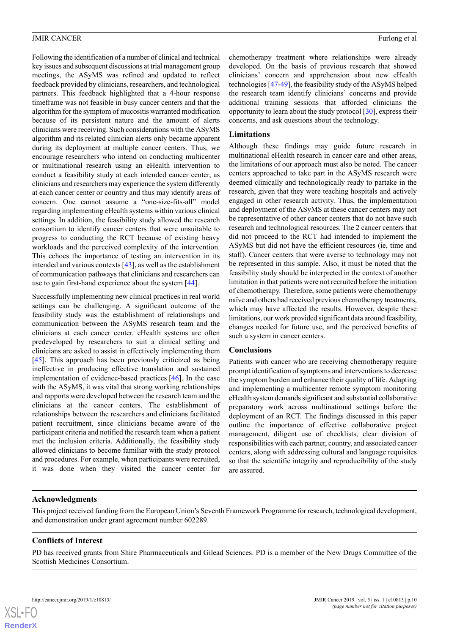Following the identification of a number of clinical and technical key issues and subsequent discussions at trial management group meetings, the ASyMS was refined and updated to reflect feedback provided by clinicians, researchers, and technological partners. This feedback highlighted that a 4-hour response timeframe was not feasible in busy cancer centers and that the algorithm for the symptom of mucositis warranted modification because of its persistent nature and the amount of alerts clinicians were receiving. Such considerations with the ASyMS algorithm and its related clinician alerts only became apparent during its deployment at multiple cancer centers. Thus, we encourage researchers who intend on conducting multicenter or multinational research using an eHealth intervention to conduct a feasibility study at each intended cancer center, as clinicians and researchers may experience the system differently at each cancer center or country and thus may identify areas of concern. One cannot assume a "one-size-fits-all" model regarding implementing eHealth systems within various clinical settings. In addition, the feasibility study allowed the research consortium to identify cancer centers that were unsuitable to progress to conducting the RCT because of existing heavy workloads and the perceived complexity of the intervention. This echoes the importance of testing an intervention in its intended and various contexts [\[43](#page-12-4)], as well as the establishment of communication pathways that clinicians and researchers can use to gain first-hand experience about the system [\[44](#page-12-5)].

Successfully implementing new clinical practices in real world settings can be challenging. A significant outcome of the feasibility study was the establishment of relationships and communication between the ASyMS research team and the clinicians at each cancer center. eHealth systems are often predeveloped by researchers to suit a clinical setting and clinicians are asked to assist in effectively implementing them [[45\]](#page-12-6). This approach has been previously criticized as being ineffective in producing effective translation and sustained implementation of evidence-based practices [\[46](#page-12-7)]. In the case with the ASyMS, it was vital that strong working relationships and rapports were developed between the research team and the clinicians at the cancer centers. The establishment of relationships between the researchers and clinicians facilitated patient recruitment, since clinicians became aware of the participant criteria and notified the research team when a patient met the inclusion criteria. Additionally, the feasibility study allowed clinicians to become familiar with the study protocol and procedures. For example, when participants were recruited, it was done when they visited the cancer center for

chemotherapy treatment where relationships were already developed. On the basis of previous research that showed clinicians' concern and apprehension about new eHealth technologies [[47-](#page-12-8)[49\]](#page-12-9), the feasibility study of the ASyMS helped the research team identify clinicians' concerns and provide additional training sessions that afforded clinicians the opportunity to learn about the study protocol [[30\]](#page-11-3), express their concerns, and ask questions about the technology.

#### **Limitations**

Although these findings may guide future research in multinational eHealth research in cancer care and other areas, the limitations of our approach must also be noted. The cancer centers approached to take part in the ASyMS research were deemed clinically and technologically ready to partake in the research, given that they were teaching hospitals and actively engaged in other research activity. Thus, the implementation and deployment of the ASyMS at these cancer centers may not be representative of other cancer centers that do not have such research and technological resources. The 2 cancer centers that did not proceed to the RCT had intended to implement the ASyMS but did not have the efficient resources (ie, time and staff). Cancer centers that were averse to technology may not be represented in this sample. Also, it must be noted that the feasibility study should be interpreted in the context of another limitation in that patients were not recruited before the initiation of chemotherapy. Therefore, some patients were chemotherapy naïve and others had received previous chemotherapy treatments, which may have affected the results. However, despite these limitations, our work provided significant data around feasibility, changes needed for future use, and the perceived benefits of such a system in cancer centers.

#### **Conclusions**

Patients with cancer who are receiving chemotherapy require prompt identification of symptoms and interventions to decrease the symptom burden and enhance their quality of life. Adapting and implementing a multicenter remote symptom monitoring eHealth system demands significant and substantial collaborative preparatory work across multinational settings before the deployment of an RCT. The findings discussed in this paper outline the importance of effective collaborative project management, diligent use of checklists, clear division of responsibilities with each partner, country, and associated cancer centers, along with addressing cultural and language requisites so that the scientific integrity and reproducibility of the study are assured.

#### **Acknowledgments**

This project received funding from the European Union's Seventh Framework Programme for research, technological development, and demonstration under grant agreement number 602289.

#### **Conflicts of Interest**

PD has received grants from Shire Pharmaceuticals and Gilead Sciences. PD is a member of the New Drugs Committee of the Scottish Medicines Consortium.

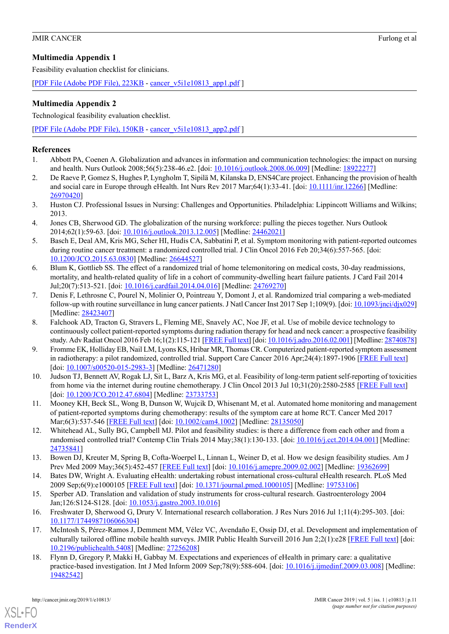#### <span id="page-10-10"></span>**Multimedia Appendix 1**

Feasibility evaluation checklist for clinicians.

[[PDF File \(Adobe PDF File\), 223KB](https://cancer.jmir.org/article/downloadSuppFile/10813/88145) - [cancer\\_v5i1e10813\\_app1.pdf](https://cancer.jmir.org/article/downloadSuppFile/10813/88145) ]

#### <span id="page-10-11"></span>**Multimedia Appendix 2**

Technological feasibility evaluation checklist.

[[PDF File \(Adobe PDF File\), 150KB](https://cancer.jmir.org/article/downloadSuppFile/10813/88146) - [cancer\\_v5i1e10813\\_app2.pdf](https://cancer.jmir.org/article/downloadSuppFile/10813/88146) ]

#### <span id="page-10-0"></span>**References**

- 1. Abbott PA, Coenen A. Globalization and advances in information and communication technologies: the impact on nursing and health. Nurs Outlook 2008;56(5):238-46.e2. [doi: [10.1016/j.outlook.2008.06.009\]](http://dx.doi.org/10.1016/j.outlook.2008.06.009) [Medline: [18922277](http://www.ncbi.nlm.nih.gov/entrez/query.fcgi?cmd=Retrieve&db=PubMed&list_uids=18922277&dopt=Abstract)]
- 2. De Raeve P, Gomez S, Hughes P, Lyngholm T, Sipilä M, Kilanska D, ENS4Care project. Enhancing the provision of health and social care in Europe through eHealth. Int Nurs Rev 2017 Mar;64(1):33-41. [doi: [10.1111/inr.12266](http://dx.doi.org/10.1111/inr.12266)] [Medline: [26970420](http://www.ncbi.nlm.nih.gov/entrez/query.fcgi?cmd=Retrieve&db=PubMed&list_uids=26970420&dopt=Abstract)]
- <span id="page-10-1"></span>3. Huston CJ. Professional Issues in Nursing: Challenges and Opportunities. Philadelphia: Lippincott Williams and Wilkins; 2013.
- <span id="page-10-2"></span>4. Jones CB, Sherwood GD. The globalization of the nursing workforce: pulling the pieces together. Nurs Outlook 2014;62(1):59-63. [doi: [10.1016/j.outlook.2013.12.005](http://dx.doi.org/10.1016/j.outlook.2013.12.005)] [Medline: [24462021\]](http://www.ncbi.nlm.nih.gov/entrez/query.fcgi?cmd=Retrieve&db=PubMed&list_uids=24462021&dopt=Abstract)
- 5. Basch E, Deal AM, Kris MG, Scher HI, Hudis CA, Sabbatini P, et al. Symptom monitoring with patient-reported outcomes during routine cancer treatment: a randomized controlled trial. J Clin Oncol 2016 Feb 20;34(6):557-565. [doi: [10.1200/JCO.2015.63.0830](http://dx.doi.org/10.1200/JCO.2015.63.0830)] [Medline: [26644527\]](http://www.ncbi.nlm.nih.gov/entrez/query.fcgi?cmd=Retrieve&db=PubMed&list_uids=26644527&dopt=Abstract)
- 6. Blum K, Gottlieb SS. The effect of a randomized trial of home telemonitoring on medical costs, 30-day readmissions, mortality, and health-related quality of life in a cohort of community-dwelling heart failure patients. J Card Fail 2014 Jul;20(7):513-521. [doi: [10.1016/j.cardfail.2014.04.016\]](http://dx.doi.org/10.1016/j.cardfail.2014.04.016) [Medline: [24769270](http://www.ncbi.nlm.nih.gov/entrez/query.fcgi?cmd=Retrieve&db=PubMed&list_uids=24769270&dopt=Abstract)]
- 7. Denis F, Lethrosne C, Pourel N, Molinier O, Pointreau Y, Domont J, et al. Randomized trial comparing a web-mediated follow-up with routine surveillance in lung cancer patients. J Natl Cancer Inst 2017 Sep 1;109(9). [doi: [10.1093/jnci/djx029\]](http://dx.doi.org/10.1093/jnci/djx029) [Medline: [28423407](http://www.ncbi.nlm.nih.gov/entrez/query.fcgi?cmd=Retrieve&db=PubMed&list_uids=28423407&dopt=Abstract)]
- 8. Falchook AD, Tracton G, Stravers L, Fleming ME, Snavely AC, Noe JF, et al. Use of mobile device technology to continuously collect patient-reported symptoms during radiation therapy for head and neck cancer: a prospective feasibility study. Adv Radiat Oncol 2016 Feb 16;1(2):115-121 [\[FREE Full text\]](https://linkinghub.elsevier.com/retrieve/pii/S2452-1094(16)00014-2) [doi: [10.1016/j.adro.2016.02.001](http://dx.doi.org/10.1016/j.adro.2016.02.001)] [Medline: [28740878\]](http://www.ncbi.nlm.nih.gov/entrez/query.fcgi?cmd=Retrieve&db=PubMed&list_uids=28740878&dopt=Abstract)
- 9. Fromme EK, Holliday EB, Nail LM, Lyons KS, Hribar MR, Thomas CR. Computerized patient-reported symptom assessment in radiotherapy: a pilot randomized, controlled trial. Support Care Cancer 2016 Apr;24(4):1897-1906 [\[FREE Full text\]](http://europepmc.org/abstract/MED/26471280) [doi: [10.1007/s00520-015-2983-3](http://dx.doi.org/10.1007/s00520-015-2983-3)] [Medline: [26471280\]](http://www.ncbi.nlm.nih.gov/entrez/query.fcgi?cmd=Retrieve&db=PubMed&list_uids=26471280&dopt=Abstract)
- <span id="page-10-4"></span><span id="page-10-3"></span>10. Judson TJ, Bennett AV, Rogak LJ, Sit L, Barz A, Kris MG, et al. Feasibility of long-term patient self-reporting of toxicities from home via the internet during routine chemotherapy. J Clin Oncol 2013 Jul 10;31(20):2580-2585 [[FREE Full text](http://jco.ascopubs.org/cgi/pmidlookup?view=long&pmid=23733753)] [doi: [10.1200/JCO.2012.47.6804](http://dx.doi.org/10.1200/JCO.2012.47.6804)] [Medline: [23733753](http://www.ncbi.nlm.nih.gov/entrez/query.fcgi?cmd=Retrieve&db=PubMed&list_uids=23733753&dopt=Abstract)]
- <span id="page-10-5"></span>11. Mooney KH, Beck SL, Wong B, Dunson W, Wujcik D, Whisenant M, et al. Automated home monitoring and management of patient-reported symptoms during chemotherapy: results of the symptom care at home RCT. Cancer Med 2017 Mar;6(3):537-546 [\[FREE Full text](http://dx.doi.org/10.1002/cam4.1002)] [doi: [10.1002/cam4.1002\]](http://dx.doi.org/10.1002/cam4.1002) [Medline: [28135050](http://www.ncbi.nlm.nih.gov/entrez/query.fcgi?cmd=Retrieve&db=PubMed&list_uids=28135050&dopt=Abstract)]
- <span id="page-10-6"></span>12. Whitehead AL, Sully BG, Campbell MJ. Pilot and feasibility studies: is there a difference from each other and from a randomised controlled trial? Contemp Clin Trials 2014 May;38(1):130-133. [doi: [10.1016/j.cct.2014.04.001](http://dx.doi.org/10.1016/j.cct.2014.04.001)] [Medline: [24735841](http://www.ncbi.nlm.nih.gov/entrez/query.fcgi?cmd=Retrieve&db=PubMed&list_uids=24735841&dopt=Abstract)]
- <span id="page-10-7"></span>13. Bowen DJ, Kreuter M, Spring B, Cofta-Woerpel L, Linnan L, Weiner D, et al. How we design feasibility studies. Am J Prev Med 2009 May;36(5):452-457 [\[FREE Full text\]](http://europepmc.org/abstract/MED/19362699) [doi: [10.1016/j.amepre.2009.02.002\]](http://dx.doi.org/10.1016/j.amepre.2009.02.002) [Medline: [19362699](http://www.ncbi.nlm.nih.gov/entrez/query.fcgi?cmd=Retrieve&db=PubMed&list_uids=19362699&dopt=Abstract)]
- <span id="page-10-8"></span>14. Bates DW, Wright A. Evaluating eHealth: undertaking robust international cross-cultural eHealth research. PLoS Med 2009 Sep;6(9):e1000105 [[FREE Full text\]](http://dx.plos.org/10.1371/journal.pmed.1000105) [doi: [10.1371/journal.pmed.1000105\]](http://dx.doi.org/10.1371/journal.pmed.1000105) [Medline: [19753106\]](http://www.ncbi.nlm.nih.gov/entrez/query.fcgi?cmd=Retrieve&db=PubMed&list_uids=19753106&dopt=Abstract)
- <span id="page-10-9"></span>15. Sperber AD. Translation and validation of study instruments for cross-cultural research. Gastroenterology 2004 Jan;126:S124-S128. [doi: [10.1053/j.gastro.2003.10.016\]](http://dx.doi.org/10.1053/j.gastro.2003.10.016)
- 16. Freshwater D, Sherwood G, Drury V. International research collaboration. J Res Nurs 2016 Jul 1;11(4):295-303. [doi: [10.1177/1744987106066304](http://dx.doi.org/10.1177/1744987106066304)]
- 17. McIntosh S, Pérez-Ramos J, Demment MM, Vélez VC, Avendaño E, Ossip DJ, et al. Development and implementation of culturally tailored offline mobile health surveys. JMIR Public Health Surveill 2016 Jun 2;2(1):e28 [[FREE Full text](http://publichealth.jmir.org/2016/1/e28/)] [doi: [10.2196/publichealth.5408\]](http://dx.doi.org/10.2196/publichealth.5408) [Medline: [27256208](http://www.ncbi.nlm.nih.gov/entrez/query.fcgi?cmd=Retrieve&db=PubMed&list_uids=27256208&dopt=Abstract)]
- 18. Flynn D, Gregory P, Makki H, Gabbay M. Expectations and experiences of eHealth in primary care: a qualitative practice-based investigation. Int J Med Inform 2009 Sep;78(9):588-604. [doi: [10.1016/j.ijmedinf.2009.03.008\]](http://dx.doi.org/10.1016/j.ijmedinf.2009.03.008) [Medline: [19482542](http://www.ncbi.nlm.nih.gov/entrez/query.fcgi?cmd=Retrieve&db=PubMed&list_uids=19482542&dopt=Abstract)]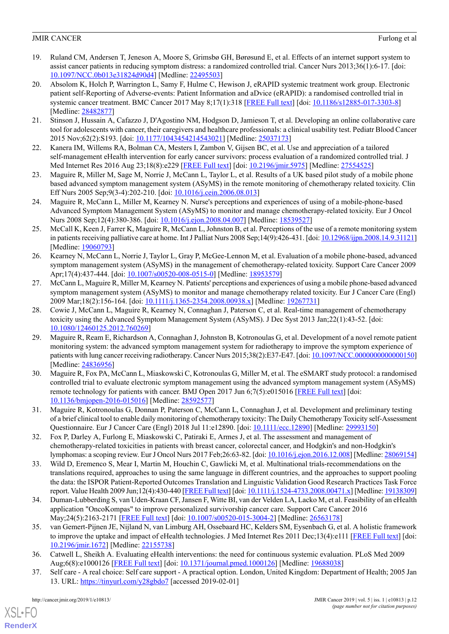- 19. Ruland CM, Andersen T, Jeneson A, Moore S, Grimsbø GH, Børøsund E, et al. Effects of an internet support system to assist cancer patients in reducing symptom distress: a randomized controlled trial. Cancer Nurs 2013;36(1):6-17. [doi: [10.1097/NCC.0b013e31824d90d4](http://dx.doi.org/10.1097/NCC.0b013e31824d90d4)] [Medline: [22495503\]](http://www.ncbi.nlm.nih.gov/entrez/query.fcgi?cmd=Retrieve&db=PubMed&list_uids=22495503&dopt=Abstract)
- 20. Absolom K, Holch P, Warrington L, Samy F, Hulme C, Hewison J, eRAPID systemic treatment work group. Electronic patient self-Reporting of Adverse-events: Patient Information and aDvice (eRAPID): a randomised controlled trial in systemic cancer treatment. BMC Cancer 2017 May 8;17(1):318 [\[FREE Full text\]](https://bmccancer.biomedcentral.com/articles/10.1186/s12885-017-3303-8) [doi: [10.1186/s12885-017-3303-8](http://dx.doi.org/10.1186/s12885-017-3303-8)] [Medline: [28482877](http://www.ncbi.nlm.nih.gov/entrez/query.fcgi?cmd=Retrieve&db=PubMed&list_uids=28482877&dopt=Abstract)]
- <span id="page-11-0"></span>21. Stinson J, Hussain A, Cafazzo J, D'Agostino NM, Hodgson D, Jamieson T, et al. Developing an online collaborative care tool for adolescents with cancer, their caregivers and healthcare professionals: a clinical usability test. Pediatr Blood Cancer 2015 Nov;62(2):S193. [doi: [10.1177/1043454214543021](http://dx.doi.org/10.1177/1043454214543021)] [Medline: [25037173\]](http://www.ncbi.nlm.nih.gov/entrez/query.fcgi?cmd=Retrieve&db=PubMed&list_uids=25037173&dopt=Abstract)
- <span id="page-11-1"></span>22. Kanera IM, Willems RA, Bolman CA, Mesters I, Zambon V, Gijsen BC, et al. Use and appreciation of a tailored self-management eHealth intervention for early cancer survivors: process evaluation of a randomized controlled trial. J Med Internet Res 2016 Aug 23;18(8):e229 [\[FREE Full text\]](http://www.jmir.org/2016/8/e229/) [doi: [10.2196/jmir.5975\]](http://dx.doi.org/10.2196/jmir.5975) [Medline: [27554525](http://www.ncbi.nlm.nih.gov/entrez/query.fcgi?cmd=Retrieve&db=PubMed&list_uids=27554525&dopt=Abstract)]
- 23. Maguire R, Miller M, Sage M, Norrie J, McCann L, Taylor L, et al. Results of a UK based pilot study of a mobile phone based advanced symptom management system (ASyMS) in the remote monitoring of chemotherapy related toxicity. Clin Eff Nurs 2005 Sep;9(3-4):202-210. [doi: [10.1016/j.cein.2006.08.013\]](http://dx.doi.org/10.1016/j.cein.2006.08.013)
- 24. Maguire R, McCann L, Miller M, Kearney N. Nurse's perceptions and experiences of using of a mobile-phone-based Advanced Symptom Management System (ASyMS) to monitor and manage chemotherapy-related toxicity. Eur J Oncol Nurs 2008 Sep;12(4):380-386. [doi: [10.1016/j.ejon.2008.04.007](http://dx.doi.org/10.1016/j.ejon.2008.04.007)] [Medline: [18539527\]](http://www.ncbi.nlm.nih.gov/entrez/query.fcgi?cmd=Retrieve&db=PubMed&list_uids=18539527&dopt=Abstract)
- 25. McCall K, Keen J, Farrer K, Maguire R, McCann L, Johnston B, et al. Perceptions of the use of a remote monitoring system in patients receiving palliative care at home. Int J Palliat Nurs 2008 Sep;14(9):426-431. [doi: [10.12968/ijpn.2008.14.9.31121\]](http://dx.doi.org/10.12968/ijpn.2008.14.9.31121) [Medline: [19060793](http://www.ncbi.nlm.nih.gov/entrez/query.fcgi?cmd=Retrieve&db=PubMed&list_uids=19060793&dopt=Abstract)]
- 26. Kearney N, McCann L, Norrie J, Taylor L, Gray P, McGee-Lennon M, et al. Evaluation of a mobile phone-based, advanced symptom management system (ASyMS) in the management of chemotherapy-related toxicity. Support Care Cancer 2009 Apr;17(4):437-444. [doi: [10.1007/s00520-008-0515-0](http://dx.doi.org/10.1007/s00520-008-0515-0)] [Medline: [18953579\]](http://www.ncbi.nlm.nih.gov/entrez/query.fcgi?cmd=Retrieve&db=PubMed&list_uids=18953579&dopt=Abstract)
- 27. McCann L, Maguire R, Miller M, Kearney N. Patients' perceptions and experiences of using a mobile phone-based advanced symptom management system (ASyMS) to monitor and manage chemotherapy related toxicity. Eur J Cancer Care (Engl) 2009 Mar;18(2):156-164. [doi: [10.1111/j.1365-2354.2008.00938.x\]](http://dx.doi.org/10.1111/j.1365-2354.2008.00938.x) [Medline: [19267731](http://www.ncbi.nlm.nih.gov/entrez/query.fcgi?cmd=Retrieve&db=PubMed&list_uids=19267731&dopt=Abstract)]
- <span id="page-11-2"></span>28. Cowie J, McCann L, Maguire R, Kearney N, Connaghan J, Paterson C, et al. Real-time management of chemotherapy toxicity using the Advanced Symptom Management System (ASyMS). J Dec Syst 2013 Jan;22(1):43-52. [doi: [10.1080/12460125.2012.760269\]](http://dx.doi.org/10.1080/12460125.2012.760269)
- <span id="page-11-3"></span>29. Maguire R, Ream E, Richardson A, Connaghan J, Johnston B, Kotronoulas G, et al. Development of a novel remote patient monitoring system: the advanced symptom management system for radiotherapy to improve the symptom experience of patients with lung cancer receiving radiotherapy. Cancer Nurs 2015;38(2):E37-E47. [doi: [10.1097/NCC.0000000000000150\]](http://dx.doi.org/10.1097/NCC.0000000000000150) [Medline: [24836956](http://www.ncbi.nlm.nih.gov/entrez/query.fcgi?cmd=Retrieve&db=PubMed&list_uids=24836956&dopt=Abstract)]
- <span id="page-11-4"></span>30. Maguire R, Fox PA, McCann L, Miaskowski C, Kotronoulas G, Miller M, et al. The eSMART study protocol: a randomised controlled trial to evaluate electronic symptom management using the advanced symptom management system (ASyMS) remote technology for patients with cancer. BMJ Open 2017 Jun 6;7(5):e015016 [[FREE Full text](http://bmjopen.bmj.com/cgi/pmidlookup?view=long&pmid=28592577)] [doi: [10.1136/bmjopen-2016-015016](http://dx.doi.org/10.1136/bmjopen-2016-015016)] [Medline: [28592577\]](http://www.ncbi.nlm.nih.gov/entrez/query.fcgi?cmd=Retrieve&db=PubMed&list_uids=28592577&dopt=Abstract)
- <span id="page-11-6"></span><span id="page-11-5"></span>31. Maguire R, Kotronoulas G, Donnan P, Paterson C, McCann L, Connaghan J, et al. Development and preliminary testing of a brief clinical tool to enable daily monitoring of chemotherapy toxicity: The Daily Chemotherapy Toxicity self-Assessment Questionnaire. Eur J Cancer Care (Engl) 2018 Jul 11:e12890. [doi: [10.1111/ecc.12890\]](http://dx.doi.org/10.1111/ecc.12890) [Medline: [29993150\]](http://www.ncbi.nlm.nih.gov/entrez/query.fcgi?cmd=Retrieve&db=PubMed&list_uids=29993150&dopt=Abstract)
- 32. Fox P, Darley A, Furlong E, Miaskowski C, Patiraki E, Armes J, et al. The assessment and management of chemotherapy-related toxicities in patients with breast cancer, colorectal cancer, and Hodgkin's and non-Hodgkin's lymphomas: a scoping review. Eur J Oncol Nurs 2017 Feb;26:63-82. [doi: [10.1016/j.ejon.2016.12.008\]](http://dx.doi.org/10.1016/j.ejon.2016.12.008) [Medline: [28069154\]](http://www.ncbi.nlm.nih.gov/entrez/query.fcgi?cmd=Retrieve&db=PubMed&list_uids=28069154&dopt=Abstract)
- <span id="page-11-8"></span><span id="page-11-7"></span>33. Wild D, Eremenco S, Mear I, Martin M, Houchin C, Gawlicki M, et al. Multinational trials-recommendations on the translations required, approaches to using the same language in different countries, and the approaches to support pooling the data: the ISPOR Patient-Reported Outcomes Translation and Linguistic Validation Good Research Practices Task Force report. Value Health 2009 Jun;12(4):430-440 [\[FREE Full text\]](https://linkinghub.elsevier.com/retrieve/pii/S1098-3015(10)60784-X) [doi: [10.1111/j.1524-4733.2008.00471.x\]](http://dx.doi.org/10.1111/j.1524-4733.2008.00471.x) [Medline: [19138309\]](http://www.ncbi.nlm.nih.gov/entrez/query.fcgi?cmd=Retrieve&db=PubMed&list_uids=19138309&dopt=Abstract)
- <span id="page-11-9"></span>34. Duman-Lubberding S, van Uden-Kraan CF, Jansen F, Witte BI, van der Velden LA, Lacko M, et al. Feasibility of an eHealth application "OncoKompas" to improve personalized survivorship cancer care. Support Care Cancer 2016 May;24(5):2163-2171 [\[FREE Full text\]](http://europepmc.org/abstract/MED/26563178) [doi: [10.1007/s00520-015-3004-2](http://dx.doi.org/10.1007/s00520-015-3004-2)] [Medline: [26563178\]](http://www.ncbi.nlm.nih.gov/entrez/query.fcgi?cmd=Retrieve&db=PubMed&list_uids=26563178&dopt=Abstract)
- <span id="page-11-10"></span>35. van Gemert-Pijnen JE, Nijland N, van Limburg AH, Ossebaard HC, Kelders SM, Eysenbach G, et al. A holistic framework to improve the uptake and impact of eHealth technologies. J Med Internet Res 2011 Dec;13(4):e111 [\[FREE Full text](http://www.jmir.org/2011/4/e111/)] [doi: [10.2196/jmir.1672](http://dx.doi.org/10.2196/jmir.1672)] [Medline: [22155738](http://www.ncbi.nlm.nih.gov/entrez/query.fcgi?cmd=Retrieve&db=PubMed&list_uids=22155738&dopt=Abstract)]
- 36. Catwell L, Sheikh A. Evaluating eHealth interventions: the need for continuous systemic evaluation. PLoS Med 2009 Aug;6(8):e1000126 [\[FREE Full text\]](http://dx.plos.org/10.1371/journal.pmed.1000126) [doi: [10.1371/journal.pmed.1000126\]](http://dx.doi.org/10.1371/journal.pmed.1000126) [Medline: [19688038](http://www.ncbi.nlm.nih.gov/entrez/query.fcgi?cmd=Retrieve&db=PubMed&list_uids=19688038&dopt=Abstract)]
- 37. Self care A real choice: Self care support A practical option. London, United Kingdom: Department of Health; 2005 Jan 13. URL: <https://tinyurl.com/y28gbdo7> [accessed 2019-02-01]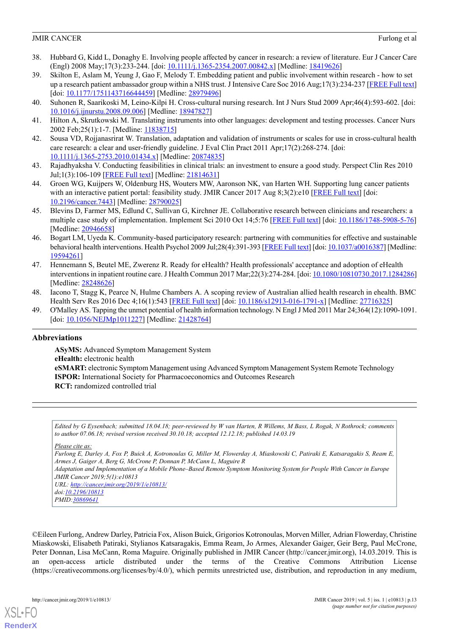- <span id="page-12-0"></span>38. Hubbard G, Kidd L, Donaghy E. Involving people affected by cancer in research: a review of literature. Eur J Cancer Care (Engl) 2008 May;17(3):233-244. [doi: [10.1111/j.1365-2354.2007.00842.x](http://dx.doi.org/10.1111/j.1365-2354.2007.00842.x)] [Medline: [18419626](http://www.ncbi.nlm.nih.gov/entrez/query.fcgi?cmd=Retrieve&db=PubMed&list_uids=18419626&dopt=Abstract)]
- <span id="page-12-1"></span>39. Skilton E, Aslam M, Yeung J, Gao F, Melody T. Embedding patient and public involvement within research - how to set up a research patient ambassador group within a NHS trust. J Intensive Care Soc 2016 Aug;17(3):234-237 [[FREE Full text](http://europepmc.org/abstract/MED/28979496)] [doi: [10.1177/1751143716644459](http://dx.doi.org/10.1177/1751143716644459)] [Medline: [28979496](http://www.ncbi.nlm.nih.gov/entrez/query.fcgi?cmd=Retrieve&db=PubMed&list_uids=28979496&dopt=Abstract)]
- <span id="page-12-2"></span>40. Suhonen R, Saarikoski M, Leino-Kilpi H. Cross-cultural nursing research. Int J Nurs Stud 2009 Apr;46(4):593-602. [doi: [10.1016/j.ijnurstu.2008.09.006](http://dx.doi.org/10.1016/j.ijnurstu.2008.09.006)] [Medline: [18947827\]](http://www.ncbi.nlm.nih.gov/entrez/query.fcgi?cmd=Retrieve&db=PubMed&list_uids=18947827&dopt=Abstract)
- <span id="page-12-3"></span>41. Hilton A, Skrutkowski M. Translating instruments into other languages: development and testing processes. Cancer Nurs 2002 Feb;25(1):1-7. [Medline: [11838715](http://www.ncbi.nlm.nih.gov/entrez/query.fcgi?cmd=Retrieve&db=PubMed&list_uids=11838715&dopt=Abstract)]
- <span id="page-12-4"></span>42. Sousa VD, Rojjanasrirat W. Translation, adaptation and validation of instruments or scales for use in cross-cultural health care research: a clear and user-friendly guideline. J Eval Clin Pract 2011 Apr;17(2):268-274. [doi: [10.1111/j.1365-2753.2010.01434.x\]](http://dx.doi.org/10.1111/j.1365-2753.2010.01434.x) [Medline: [20874835](http://www.ncbi.nlm.nih.gov/entrez/query.fcgi?cmd=Retrieve&db=PubMed&list_uids=20874835&dopt=Abstract)]
- <span id="page-12-5"></span>43. Rajadhyaksha V. Conducting feasibilities in clinical trials: an investment to ensure a good study. Perspect Clin Res 2010 Jul;1(3):106-109 [[FREE Full text](http://www.picronline.org/article.asp?issn=2229-3485;year=2010;volume=1;issue=3;spage=106;epage=109;aulast=Rajadhyaksha)] [Medline: [21814631\]](http://www.ncbi.nlm.nih.gov/entrez/query.fcgi?cmd=Retrieve&db=PubMed&list_uids=21814631&dopt=Abstract)
- <span id="page-12-6"></span>44. Groen WG, Kuijpers W, Oldenburg HS, Wouters MW, Aaronson NK, van Harten WH. Supporting lung cancer patients with an interactive patient portal: feasibility study. JMIR Cancer 2017 Aug 8;3(2):e10 [[FREE Full text](http://cancer.jmir.org/2017/2/e10/)] [doi: [10.2196/cancer.7443\]](http://dx.doi.org/10.2196/cancer.7443) [Medline: [28790025\]](http://www.ncbi.nlm.nih.gov/entrez/query.fcgi?cmd=Retrieve&db=PubMed&list_uids=28790025&dopt=Abstract)
- <span id="page-12-7"></span>45. Blevins D, Farmer MS, Edlund C, Sullivan G, Kirchner JE. Collaborative research between clinicians and researchers: a multiple case study of implementation. Implement Sci 2010 Oct 14;5:76 [[FREE Full text\]](https://implementationscience.biomedcentral.com/articles/10.1186/1748-5908-5-76) [doi: [10.1186/1748-5908-5-76](http://dx.doi.org/10.1186/1748-5908-5-76)] [Medline: [20946658](http://www.ncbi.nlm.nih.gov/entrez/query.fcgi?cmd=Retrieve&db=PubMed&list_uids=20946658&dopt=Abstract)]
- <span id="page-12-8"></span>46. Bogart LM, Uyeda K. Community-based participatory research: partnering with communities for effective and sustainable behavioral health interventions. Health Psychol 2009 Jul;28(4):391-393 [[FREE Full text](http://europepmc.org/abstract/MED/19594261)] [doi: [10.1037/a0016387\]](http://dx.doi.org/10.1037/a0016387) [Medline: [19594261](http://www.ncbi.nlm.nih.gov/entrez/query.fcgi?cmd=Retrieve&db=PubMed&list_uids=19594261&dopt=Abstract)]
- 47. Hennemann S, Beutel ME, Zwerenz R. Ready for eHealth? Health professionals' acceptance and adoption of eHealth interventions in inpatient routine care. J Health Commun 2017 Mar;22(3):274-284. [doi: [10.1080/10810730.2017.1284286\]](http://dx.doi.org/10.1080/10810730.2017.1284286) [Medline: [28248626](http://www.ncbi.nlm.nih.gov/entrez/query.fcgi?cmd=Retrieve&db=PubMed&list_uids=28248626&dopt=Abstract)]
- <span id="page-12-9"></span>48. Iacono T, Stagg K, Pearce N, Hulme Chambers A. A scoping review of Australian allied health research in ehealth. BMC Health Serv Res 2016 Dec 4;16(1):543 [\[FREE Full text](https://bmchealthservres.biomedcentral.com/articles/10.1186/s12913-016-1791-x)] [doi: [10.1186/s12913-016-1791-x\]](http://dx.doi.org/10.1186/s12913-016-1791-x) [Medline: [27716325](http://www.ncbi.nlm.nih.gov/entrez/query.fcgi?cmd=Retrieve&db=PubMed&list_uids=27716325&dopt=Abstract)]
- 49. O'Malley AS. Tapping the unmet potential of health information technology. N Engl J Med 2011 Mar 24;364(12):1090-1091. [doi: [10.1056/NEJMp1011227\]](http://dx.doi.org/10.1056/NEJMp1011227) [Medline: [21428764\]](http://www.ncbi.nlm.nih.gov/entrez/query.fcgi?cmd=Retrieve&db=PubMed&list_uids=21428764&dopt=Abstract)

#### **Abbreviations**

**ASyMS:** Advanced Symptom Management System **eHealth:** electronic health **eSMART:** electronic Symptom Management using Advanced Symptom Management System Remote Technology **ISPOR:** International Society for Pharmacoeconomics and Outcomes Research **RCT:** randomized controlled trial

*Edited by G Eysenbach; submitted 18.04.18; peer-reviewed by W van Harten, R Willems, M Bass, L Rogak, N Rothrock; comments to author 07.06.18; revised version received 30.10.18; accepted 12.12.18; published 14.03.19*

*Please cite as:*

*Furlong E, Darley A, Fox P, Buick A, Kotronoulas G, Miller M, Flowerday A, Miaskowski C, Patiraki E, Katsaragakis S, Ream E, Armes J, Gaiger A, Berg G, McCrone P, Donnan P, McCann L, Maguire R Adaptation and Implementation of a Mobile Phone–Based Remote Symptom Monitoring System for People With Cancer in Europe JMIR Cancer 2019;5(1):e10813 URL: <http://cancer.jmir.org/2019/1/e10813/> doi[:10.2196/10813](http://dx.doi.org/10.2196/10813) PMID:[30869641](http://www.ncbi.nlm.nih.gov/entrez/query.fcgi?cmd=Retrieve&db=PubMed&list_uids=30869641&dopt=Abstract)*

©Eileen Furlong, Andrew Darley, Patricia Fox, Alison Buick, Grigorios Kotronoulas, Morven Miller, Adrian Flowerday, Christine Miaskowski, Elisabeth Patiraki, Stylianos Katsaragakis, Emma Ream, Jo Armes, Alexander Gaiger, Geir Berg, Paul McCrone, Peter Donnan, Lisa McCann, Roma Maguire. Originally published in JMIR Cancer (http://cancer.jmir.org), 14.03.2019. This is an open-access article distributed under the terms of the Creative Commons Attribution License (https://creativecommons.org/licenses/by/4.0/), which permits unrestricted use, distribution, and reproduction in any medium,